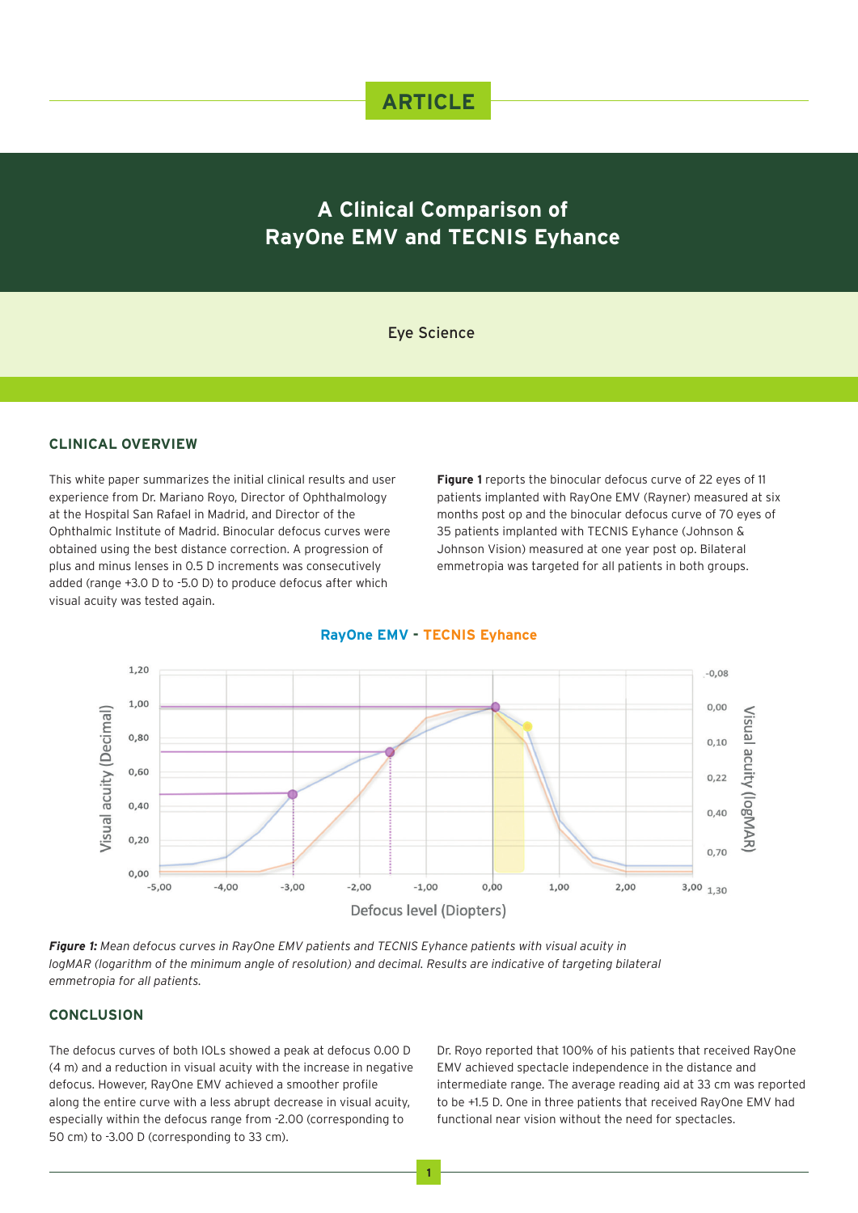## **ARTICLE**

# **A Clinical Comparison of RayOne EMV and TECNIS Eyhance**

## Eye Science

### **CLINICAL OVERVIEW**

This white paper summarizes the initial clinical results and user experience from Dr. Mariano Royo, Director of Ophthalmology at the Hospital San Rafael in Madrid, and Director of the Ophthalmic Institute of Madrid. Binocular defocus curves were obtained using the best distance correction. A progression of plus and minus lenses in 0.5 D increments was consecutively added (range +3.0 D to -5.0 D) to produce defocus after which visual acuity was tested again.

**Figure 1** reports the binocular defocus curve of 22 eyes of 11 patients implanted with RayOne EMV (Rayner) measured at six months post op and the binocular defocus curve of 70 eyes of 35 patients implanted with TECNIS Eyhance (Johnson & Johnson Vision) measured at one year post op. Bilateral emmetropia was targeted for all patients in both groups.

#### **RayOne EMV - TECNIS Eyhance**



*Figure 1: Mean defocus curves in RayOne EMV patients and TECNIS Eyhance patients with visual acuity in logMAR (logarithm of the minimum angle of resolution) and decimal. Results are indicative of targeting bilateral emmetropia for all patients.*

## **CONCLUSION**

The defocus curves of both IOLs showed a peak at defocus 0.00 D (4 m) and a reduction in visual acuity with the increase in negative defocus. However, RayOne EMV achieved a smoother profile along the entire curve with a less abrupt decrease in visual acuity, especially within the defocus range from -2.00 (corresponding to 50 cm) to -3.00 D (corresponding to 33 cm).

Dr. Royo reported that 100% of his patients that received RayOne EMV achieved spectacle independence in the distance and intermediate range. The average reading aid at 33 cm was reported to be +1.5 D. One in three patients that received RayOne EMV had functional near vision without the need for spectacles.